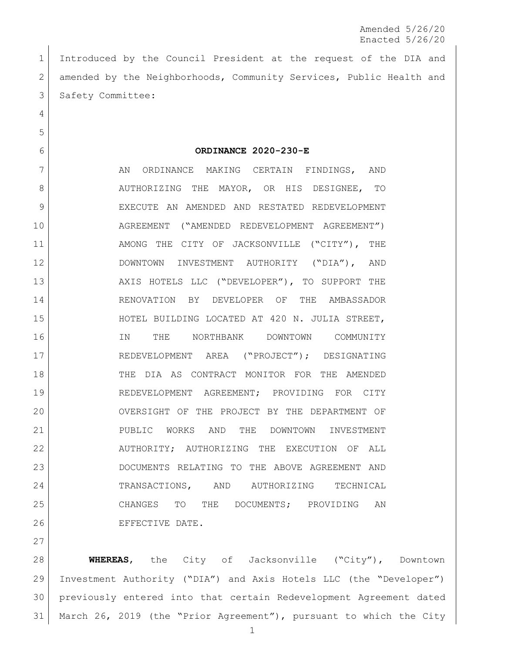Introduced by the Council President at the request of the DIA and 2 amended by the Neighborhoods, Community Services, Public Health and 3 Safety Committee:

**ORDINANCE 2020-230-E**

7 AN ORDINANCE MAKING CERTAIN FINDINGS, AND 8 AUTHORIZING THE MAYOR, OR HIS DESIGNEE, TO EXECUTE AN AMENDED AND RESTATED REDEVELOPMENT AGREEMENT ("AMENDED REDEVELOPMENT AGREEMENT") 11 AMONG THE CITY OF JACKSONVILLE ("CITY"), THE DOWNTOWN INVESTMENT AUTHORITY ("DIA"), AND 13 AXIS HOTELS LLC ("DEVELOPER"), TO SUPPORT THE RENOVATION BY DEVELOPER OF THE AMBASSADOR HOTEL BUILDING LOCATED AT 420 N. JULIA STREET, IN THE NORTHBANK DOWNTOWN COMMUNITY REDEVELOPMENT AREA ("PROJECT"); DESIGNATING THE DIA AS CONTRACT MONITOR FOR THE AMENDED REDEVELOPMENT AGREEMENT; PROVIDING FOR CITY OVERSIGHT OF THE PROJECT BY THE DEPARTMENT OF PUBLIC WORKS AND THE DOWNTOWN INVESTMENT 22 AUTHORITY; AUTHORIZING THE EXECUTION OF ALL DOCUMENTS RELATING TO THE ABOVE AGREEMENT AND TRANSACTIONS, AND AUTHORIZING TECHNICAL CHANGES TO THE DOCUMENTS; PROVIDING AN EFFECTIVE DATE.

 **WHEREAS**, the City of Jacksonville ("City"), Downtown Investment Authority ("DIA") and Axis Hotels LLC (the "Developer") previously entered into that certain Redevelopment Agreement dated March 26, 2019 (the "Prior Agreement"), pursuant to which the City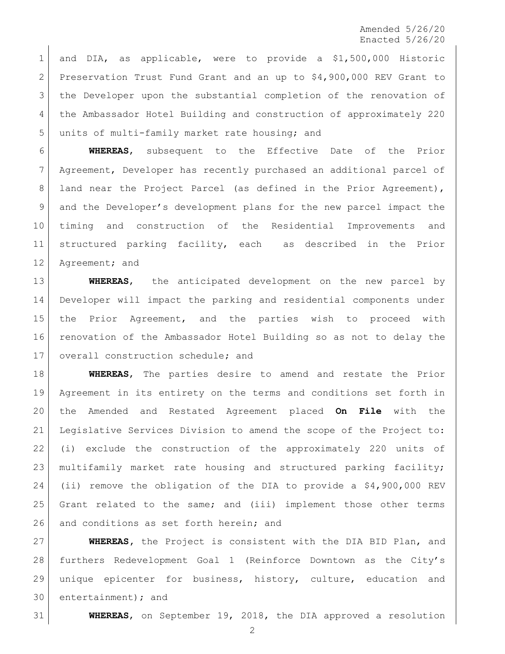and DIA, as applicable, were to provide a \$1,500,000 Historic 2 Preservation Trust Fund Grant and an up to \$4,900,000 REV Grant to the Developer upon the substantial completion of the renovation of the Ambassador Hotel Building and construction of approximately 220 units of multi-family market rate housing; and

 **WHEREAS**, subsequent to the Effective Date of the Prior Agreement, Developer has recently purchased an additional parcel of 8 | land near the Project Parcel (as defined in the Prior Agreement), and the Developer's development plans for the new parcel impact the timing and construction of the Residential Improvements and structured parking facility, each as described in the Prior 12 Agreement; and

 **WHEREAS**, the anticipated development on the new parcel by Developer will impact the parking and residential components under the Prior Agreement, and the parties wish to proceed with renovation of the Ambassador Hotel Building so as not to delay the 17 | overall construction schedule; and

 **WHEREAS**, The parties desire to amend and restate the Prior Agreement in its entirety on the terms and conditions set forth in the Amended and Restated Agreement placed **On File** with the Legislative Services Division to amend the scope of the Project to: (i) exclude the construction of the approximately 220 units of multifamily market rate housing and structured parking facility; (ii) remove the obligation of the DIA to provide a \$4,900,000 REV Grant related to the same; and (iii) implement those other terms 26 and conditions as set forth herein; and

 **WHEREAS,** the Project is consistent with the DIA BID Plan, and furthers Redevelopment Goal 1 (Reinforce Downtown as the City's unique epicenter for business, history, culture, education and entertainment); and

**WHEREAS**, on September 19, 2018, the DIA approved a resolution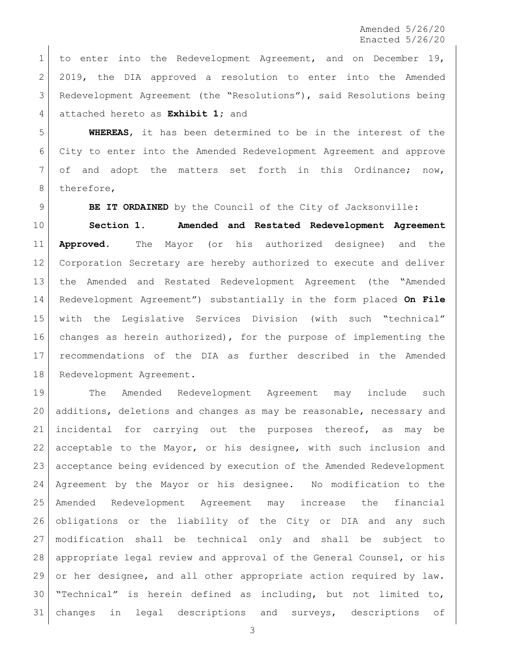to enter into the Redevelopment Agreement, and on December 19, 2 2019, the DIA approved a resolution to enter into the Amended Redevelopment Agreement (the "Resolutions"), said Resolutions being attached hereto as **Exhibit 1;** and

 **WHEREAS**, it has been determined to be in the interest of the City to enter into the Amended Redevelopment Agreement and approve of and adopt the matters set forth in this Ordinance; now, 8 therefore,

**BE IT ORDAINED** by the Council of the City of Jacksonville:

 **Section 1. Amended and Restated Redevelopment Agreement Approved.** The Mayor (or his authorized designee) and the Corporation Secretary are hereby authorized to execute and deliver the Amended and Restated Redevelopment Agreement (the "Amended Redevelopment Agreement") substantially in the form placed **On File** with the Legislative Services Division (with such "technical" changes as herein authorized), for the purpose of implementing the recommendations of the DIA as further described in the Amended 18 Redevelopment Agreement.

 The Amended Redevelopment Agreement may include such additions, deletions and changes as may be reasonable, necessary and incidental for carrying out the purposes thereof, as may be acceptable to the Mayor, or his designee, with such inclusion and acceptance being evidenced by execution of the Amended Redevelopment Agreement by the Mayor or his designee. No modification to the Amended Redevelopment Agreement may increase the financial obligations or the liability of the City or DIA and any such modification shall be technical only and shall be subject to appropriate legal review and approval of the General Counsel, or his or her designee, and all other appropriate action required by law. "Technical" is herein defined as including, but not limited to, 31 changes in legal descriptions and surveys, descriptions of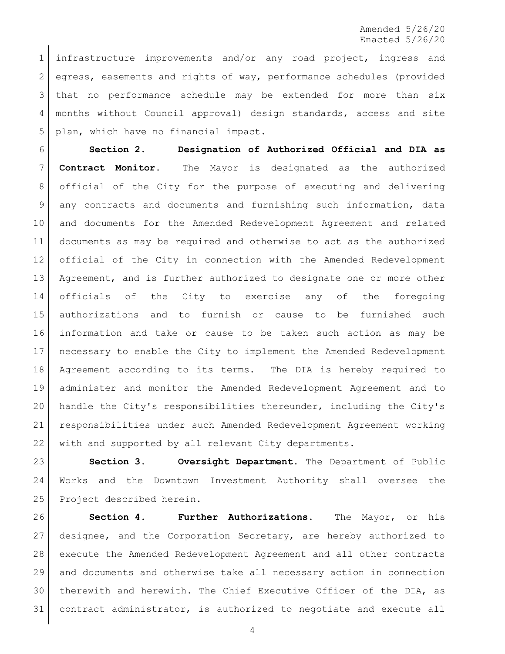infrastructure improvements and/or any road project, ingress and egress, easements and rights of way, performance schedules (provided that no performance schedule may be extended for more than six months without Council approval) design standards, access and site plan, which have no financial impact.

 **Section 2. Designation of Authorized Official and DIA as Contract Monitor.** The Mayor is designated as the authorized official of the City for the purpose of executing and delivering any contracts and documents and furnishing such information, data and documents for the Amended Redevelopment Agreement and related documents as may be required and otherwise to act as the authorized official of the City in connection with the Amended Redevelopment 13 Agreement, and is further authorized to designate one or more other officials of the City to exercise any of the foregoing authorizations and to furnish or cause to be furnished such information and take or cause to be taken such action as may be necessary to enable the City to implement the Amended Redevelopment Agreement according to its terms. The DIA is hereby required to administer and monitor the Amended Redevelopment Agreement and to handle the City's responsibilities thereunder, including the City's responsibilities under such Amended Redevelopment Agreement working 22 with and supported by all relevant City departments.

 **Section 3. Oversight Department.** The Department of Public Works and the Downtown Investment Authority shall oversee the 25 Project described herein.

 **Section 4. Further Authorizations.** The Mayor, or his designee, and the Corporation Secretary, are hereby authorized to execute the Amended Redevelopment Agreement and all other contracts and documents and otherwise take all necessary action in connection therewith and herewith. The Chief Executive Officer of the DIA, as contract administrator, is authorized to negotiate and execute all